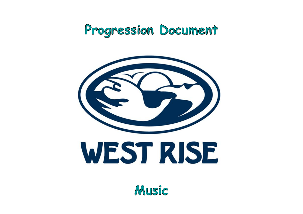# Progression Document



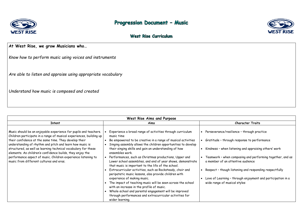

# Progression Document - Music

### West Rise Curriculum

#### **At West Rise, we grow Musicians who…**

*Know how to perform music using voices and instruments* 

*Are able to listen and appraise using appropriate vocabulary*

*Understand how music is composed and created* 

| West Rise Aims and Purpose                                                                                                                                                                                                                                                                                                                                                                                                                                                                              |                                                                                                                                                                                                                                                                                                                                                                                                                                                                                                                                                                                                                                                                                         |                                                                                                                                                               |  |
|---------------------------------------------------------------------------------------------------------------------------------------------------------------------------------------------------------------------------------------------------------------------------------------------------------------------------------------------------------------------------------------------------------------------------------------------------------------------------------------------------------|-----------------------------------------------------------------------------------------------------------------------------------------------------------------------------------------------------------------------------------------------------------------------------------------------------------------------------------------------------------------------------------------------------------------------------------------------------------------------------------------------------------------------------------------------------------------------------------------------------------------------------------------------------------------------------------------|---------------------------------------------------------------------------------------------------------------------------------------------------------------|--|
| <b>Intent</b>                                                                                                                                                                                                                                                                                                                                                                                                                                                                                           | Aims                                                                                                                                                                                                                                                                                                                                                                                                                                                                                                                                                                                                                                                                                    |                                                                                                                                                               |  |
| Music should be an enjoyable experience for pupils and teachers.<br>Children participate in a range of musical experiences, building up<br>their confidence at the same time. They develop their<br>understanding of rhythm and pitch and learn how music is<br>structured, as well as learning technical vocabulary for these<br>elements. As children's confidence builds, they enjoy the<br>performance aspect of music. Children experience listening to<br>music from different cultures and eras. | Experience a broad range of activities through curriculum<br>music time<br>Be empowered to be creative in a range of musical activities<br>Singing assembly allows the children opportunities to develop<br>their singing skills and gain an understanding of how<br>ensembles work.<br>Performances, such as Christmas productions, Upper and<br>Lower school assemblies, and end of year shows, demonstrate<br>that music is important to the life of the school.<br>Extracurricular activities, such as Rocksteady, choir and<br>peripatetic music lessons, also provide children with<br>experience of making music.<br>The impact of teaching music will be seen across the school | Perseverance/res<br>Gratitude - throu<br>Kindness - when I<br>Teamwork - wher<br>a member of an a<br>Respect - though<br>Love of Learning<br>wide range of mu |  |
|                                                                                                                                                                                                                                                                                                                                                                                                                                                                                                         | with an increase in the profile of music.                                                                                                                                                                                                                                                                                                                                                                                                                                                                                                                                                                                                                                               |                                                                                                                                                               |  |
|                                                                                                                                                                                                                                                                                                                                                                                                                                                                                                         | Whole-school and parental engagement will be improved<br>through performances and extracurricular activities for                                                                                                                                                                                                                                                                                                                                                                                                                                                                                                                                                                        |                                                                                                                                                               |  |
|                                                                                                                                                                                                                                                                                                                                                                                                                                                                                                         | wider learning.                                                                                                                                                                                                                                                                                                                                                                                                                                                                                                                                                                                                                                                                         |                                                                                                                                                               |  |



#### **Character Traits**

esilience – through practice

ugh response to performance

listening and appraising others' work

n composing and performing together, and as attentive audience

 $\overline{\mathsf{h}}$  listening and responding respectfully

 $\alpha$  – through enjoyment and participation in a usical styles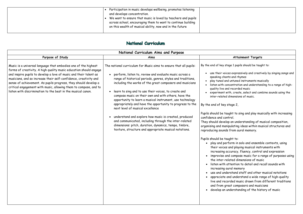|  | Participation in music develops wellbeing, promotes listening<br>and develops concentration.<br>We want to ensure that music is loved by teachers and pupils<br>across school, encouraging them to want to continue building<br>on this wealth of musical ability, now and in the future |  |
|--|------------------------------------------------------------------------------------------------------------------------------------------------------------------------------------------------------------------------------------------------------------------------------------------|--|
|  |                                                                                                                                                                                                                                                                                          |  |

### National Curriculum

| National Curriculum Aims and Purpose                                                                                                                                                                                                                                                                                                                                                                                                                                                |                                                                                                                                                                                                                                                                                                                                                                                                                                                                                                                                                                                                                                                                                                                                                                          |                                                                                                                                                                                                                                                                                                                                                                                                                                                                                                                                                             |
|-------------------------------------------------------------------------------------------------------------------------------------------------------------------------------------------------------------------------------------------------------------------------------------------------------------------------------------------------------------------------------------------------------------------------------------------------------------------------------------|--------------------------------------------------------------------------------------------------------------------------------------------------------------------------------------------------------------------------------------------------------------------------------------------------------------------------------------------------------------------------------------------------------------------------------------------------------------------------------------------------------------------------------------------------------------------------------------------------------------------------------------------------------------------------------------------------------------------------------------------------------------------------|-------------------------------------------------------------------------------------------------------------------------------------------------------------------------------------------------------------------------------------------------------------------------------------------------------------------------------------------------------------------------------------------------------------------------------------------------------------------------------------------------------------------------------------------------------------|
| Purpose of Study                                                                                                                                                                                                                                                                                                                                                                                                                                                                    | Aims                                                                                                                                                                                                                                                                                                                                                                                                                                                                                                                                                                                                                                                                                                                                                                     |                                                                                                                                                                                                                                                                                                                                                                                                                                                                                                                                                             |
| Music is a universal language that embodies one of the highest<br>forms of creativity. A high quality music education should engage<br>and inspire pupils to develop a love of music and their talent as<br>musicians, and so increase their self-confidence, creativity and<br>sense of achievement. As pupils progress, they should develop a<br>critical engagement with music, allowing them to compose, and to<br>listen with discrimination to the best in the musical canon. | The national curriculum for Music aims to ensure that all pupils:<br>perform, listen to, review and evaluate music across a<br>range of historical periods, genres, styles and traditions,<br>including the works of the great composers and musicians<br>learn to sing and to use their voices, to create and<br>compose music on their own and with others, have the<br>opportunity to learn a musical instrument, use technology<br>appropriately and have the opportunity to progress to the<br>next level of musical excellence<br>understand and explore how music is created, produced<br>and communicated, including through the inter-related<br>dimensions: pitch, duration, dynamics, tempo, timbre,<br>texture, structure and appropriate musical notations. | By the end of key stag<br>use their voices<br>speaking chants<br>play tuned and<br>listen with cond<br>quality live and<br>experiment wit<br>inter-related d<br>By the end of key st<br>Pupils should be taug<br>confidence and contr<br>They should develop<br>organising and manip<br>reproducing sounds 1<br>Pupils should be taug<br>play and perfo<br>their voices a<br>increasing acc<br>improvise and<br>the inter-rela<br>• listen with at<br>increasing aur<br>use and under<br>appreciate an<br>live and recor<br>and from gred<br>develop an und |
|                                                                                                                                                                                                                                                                                                                                                                                                                                                                                     |                                                                                                                                                                                                                                                                                                                                                                                                                                                                                                                                                                                                                                                                                                                                                                          |                                                                                                                                                                                                                                                                                                                                                                                                                                                                                                                                                             |

#### **Attainment Targets**

ge 1 pupils should be taught to:

es expressively and creatively by singing songs and ts and rhymes

untuned instruments musically

centration and understanding to a range of highrecorded music

th, create, select and combine sounds using the limensions of music.

tage 2,

ght to sing and play musically with increasing rol.

an understanding of musical composition, pulating ideas within musical structures and from aural memory.

aht to:

form in solo and ensemble contexts, using and playing musical instruments with curacy, fluency, control and expression

compose music for a range of purposes using ated dimensions of music

Itention to detail and recall sounds with ral memory

rstand staff and other musical notations

ad understand a wide range of high-quality

rded music drawn from different traditions

at composers and musicians

derstanding of the history of music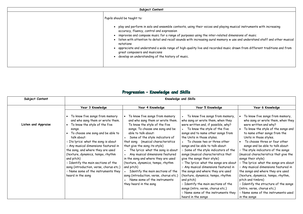| Subject Content |                                                                                                                                                                                                                                                                                                                                                                                                                                                                                           |  |
|-----------------|-------------------------------------------------------------------------------------------------------------------------------------------------------------------------------------------------------------------------------------------------------------------------------------------------------------------------------------------------------------------------------------------------------------------------------------------------------------------------------------------|--|
|                 | Pupils should be taught to:                                                                                                                                                                                                                                                                                                                                                                                                                                                               |  |
|                 | play and perform in solo and ensemble contexts, using their voices and playing i<br>accuracy, fluency, control and expression<br>improvise and compose music for a range of purposes using the inter-related d<br>• listen with attention to detail and recall sounds with increasing aural memory *<br>notations<br>appreciate and understand a wide range of high-quality live and recorded music<br>great composers and musicians<br>develop an understanding of the history of music. |  |

# Progression - Knowledge and Skills

|       | Year 6 Knowledge                            |
|-------|---------------------------------------------|
|       |                                             |
| iory, | To know five songs from memory,             |
| ey    | who sang or wrote them, when they           |
| ?/    | were written and why?                       |
|       | To know the style of the songs and          |
| 'om   | to name other songs from the                |
|       | Units in those styles.                      |
|       | To choose three or four other               |
|       | songs and be able to talk about:            |
| the:  | $\circ$ The style indicators of the songs   |
| at    | (musical characteristics that give the      |
|       | songs their style)                          |
| about | o The lyrics: what the songs are about      |
| d in  | o Any musical dimensions featured in        |
| ٤d    | the songs and where they are used           |
| m     | (texture, dynamics, tempo, rhythm,          |
|       | pitch and timbre)                           |
| he    | $\circ$ Identify the structure of the songs |
|       | (intro, verse, chorus etc.)                 |
| they  | o Name some of the instruments used         |
|       | in the songs                                |
|       |                                             |

| Subject Content            |                                                                                                                                                                                                                                                                                                                                                                                                                                                                                         | Knowledge and Skills                                                                                                                                                                                                                                                                                                                                                                                                                                                                                                                                                                  |                                                                                                                                                                                                                                                                                                                                                                                                                                                                                                                                                                                                                                                                                                                        |                                                                                                                                                                                                                                                                                                                                                                                                                                                                                                                                                                                            |  |  |
|----------------------------|-----------------------------------------------------------------------------------------------------------------------------------------------------------------------------------------------------------------------------------------------------------------------------------------------------------------------------------------------------------------------------------------------------------------------------------------------------------------------------------------|---------------------------------------------------------------------------------------------------------------------------------------------------------------------------------------------------------------------------------------------------------------------------------------------------------------------------------------------------------------------------------------------------------------------------------------------------------------------------------------------------------------------------------------------------------------------------------------|------------------------------------------------------------------------------------------------------------------------------------------------------------------------------------------------------------------------------------------------------------------------------------------------------------------------------------------------------------------------------------------------------------------------------------------------------------------------------------------------------------------------------------------------------------------------------------------------------------------------------------------------------------------------------------------------------------------------|--------------------------------------------------------------------------------------------------------------------------------------------------------------------------------------------------------------------------------------------------------------------------------------------------------------------------------------------------------------------------------------------------------------------------------------------------------------------------------------------------------------------------------------------------------------------------------------------|--|--|
|                            | Year 3 Knowledge                                                                                                                                                                                                                                                                                                                                                                                                                                                                        | Year 4 Knowledge                                                                                                                                                                                                                                                                                                                                                                                                                                                                                                                                                                      | Year 5 Knowledge                                                                                                                                                                                                                                                                                                                                                                                                                                                                                                                                                                                                                                                                                                       | Year 6 Knowledge                                                                                                                                                                                                                                                                                                                                                                                                                                                                                                                                                                           |  |  |
| <b>Listen and Appraise</b> | To know five songs from memory<br>and who sang them or wrote them.<br>To know the style of the five<br>songs.<br>To choose one song and be able to<br>talk about:<br>o Its lyrics: what the song is about<br>o Any musical dimensions featured in<br>the song, and where they are used<br>(texture, dynamics, tempo, rhythm<br>and pitch)<br>o Identify the main sections of the<br>song (introduction, verse, chorus etc.)<br>o Name some of the instruments they<br>heard in the song | To know five songs from memory<br>and who sang them or wrote them.<br>To know the style of the five<br>songs. To choose one song and be<br>able to talk about:<br>Some of the style indicators of<br>that song (musical characteristics<br>that give the song its style)<br>The lyrics: what the song is about<br>Any musical dimensions featured<br>in the song and where they are used<br>(texture, dynamics, tempo, rhythm<br>and pitch)<br>Identify the main sections of the<br>song (introduction, verse, chorus etc.)<br>Name some of the instruments<br>they heard in the song | To know five songs from memory,<br>who sang or wrote them, when they<br>were written and, if possible, why?<br>To know the style of the five<br>songs and to name other songs from<br>the Units in those styles.<br>To choose two or three other<br>songs and be able to talk about:<br>o Some of the style indicators of the<br>songs (musical characteristics that<br>give the songs their style)<br>o The lyrics: what the songs are about<br>o Any musical dimensions featured in<br>the songs and where they are used<br>(texture, dynamics, tempo, rhythm<br>and pitch)<br>o Identify the main sections of the<br>songs (intro, verse, chorus etc.)<br>o Name some of the instruments they<br>heard in the songs | To know five songs from<br>$\bullet$<br>who sang or wrote them,<br>were written and why?<br>To know the style of the<br>to name other songs fron<br>Units in those styles.<br>To choose three or four<br>songs and be able to talk<br>o The style indicators of the<br>(musical characteristics that<br>songs their style)<br>o The lyrics: what the songs<br>o Any musical dimensions fed<br>the songs and where they ar<br>(texture, dynamics, tempo, r<br>pitch and timbre)<br>o Identify the structure of<br>(intro, verse, chorus etc.)<br>o Name some of the instrum<br>in the songs |  |  |

musical instruments with increasing

imensions of music  $\alpha$  use and understand staff and other musical

c drawn from different traditions and from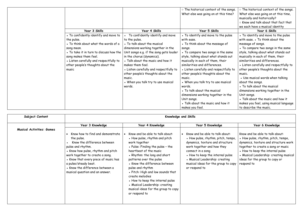|                                                                                                                                                                                                                                                                       |                                                                                                                                                                                                                                                                                                                                                                                                  | ○ The historical context of the songs.<br>What else was going on at this time?                                                                                                                                                                                                                                                                                                                                                                                                 | o The historical context of the songs.<br>What else was going on at this time,<br>musically and historically?<br>o Know and talk about that fact that<br>we each have a musical identity                                                                                                                                                                                                                                                                                                                                 |
|-----------------------------------------------------------------------------------------------------------------------------------------------------------------------------------------------------------------------------------------------------------------------|--------------------------------------------------------------------------------------------------------------------------------------------------------------------------------------------------------------------------------------------------------------------------------------------------------------------------------------------------------------------------------------------------|--------------------------------------------------------------------------------------------------------------------------------------------------------------------------------------------------------------------------------------------------------------------------------------------------------------------------------------------------------------------------------------------------------------------------------------------------------------------------------|--------------------------------------------------------------------------------------------------------------------------------------------------------------------------------------------------------------------------------------------------------------------------------------------------------------------------------------------------------------------------------------------------------------------------------------------------------------------------------------------------------------------------|
| Year 3 Skills                                                                                                                                                                                                                                                         | Year 4 Skills                                                                                                                                                                                                                                                                                                                                                                                    | Year 5 Skills                                                                                                                                                                                                                                                                                                                                                                                                                                                                  | Year 6 Skills                                                                                                                                                                                                                                                                                                                                                                                                                                                                                                            |
| • To confidently identify and move to<br>the pulse.<br>• To think about what the words of a<br>song mean.<br>• To take it in turn to discuss how the<br>song makes them feel.<br>• Listen carefully and respectfully to<br>other people's thoughts about the<br>music | To confidently identify and move<br>to the pulse.<br>• To talk about the musical<br>dimensions working together in the<br>Unit songs e.g. if the song gets louder<br>in the chorus (dynamics).<br>• Talk about the music and how it<br>makes them feel.<br>• Listen carefully and respectfully to<br>other people's thoughts about the<br>music.<br>• When you talk try to use musical<br>words. | • To identify and move to the pulse<br>with ease.<br>• To think about the message of<br>songs.<br>• To compare two songs in the same<br>style, talking about what stands out<br>musically in each of them, their<br>similarities and differences.<br>• Listen carefully and respectfully to<br>other people's thoughts about the<br>music.<br>• When you talk try to use musical<br>words.<br>• To talk about the musical<br>dimensions working together in the<br>Unit songs. | • To identify and move to the pulse<br>with ease. . To think about the<br>message of songs.<br>• To compare two songs in the same<br>style, talking about what stands out<br>musically in each of them, their<br>similarities and differences.<br>• Listen carefully and respectfully to<br>other people's thoughts about the<br>music.<br>• Use musical words when talking<br>about the songs.<br>• To talk about the musical<br>dimensions working together in the<br>Unit songs.<br>• Talk about the music and how it |
|                                                                                                                                                                                                                                                                       |                                                                                                                                                                                                                                                                                                                                                                                                  | • Talk about the music and how it<br>makes you feel.                                                                                                                                                                                                                                                                                                                                                                                                                           | makes you feel, using musical language<br>to describe the music.                                                                                                                                                                                                                                                                                                                                                                                                                                                         |

| Subject Content                  | Knowledge and Skills                                                                                                                                                                                                                                                                                              |                                                                                                                                                                                                                                                                                                                                                                                                                                                       |                                                                                                                                                                                                                                                                                           |                                                                                                                                                                                                                                                                                   |  |
|----------------------------------|-------------------------------------------------------------------------------------------------------------------------------------------------------------------------------------------------------------------------------------------------------------------------------------------------------------------|-------------------------------------------------------------------------------------------------------------------------------------------------------------------------------------------------------------------------------------------------------------------------------------------------------------------------------------------------------------------------------------------------------------------------------------------------------|-------------------------------------------------------------------------------------------------------------------------------------------------------------------------------------------------------------------------------------------------------------------------------------------|-----------------------------------------------------------------------------------------------------------------------------------------------------------------------------------------------------------------------------------------------------------------------------------|--|
|                                  | Year 3 Knowledge                                                                                                                                                                                                                                                                                                  | Year 4 Knowledge                                                                                                                                                                                                                                                                                                                                                                                                                                      | Year 5 Knowledge                                                                                                                                                                                                                                                                          | Year 6 Knowledge                                                                                                                                                                                                                                                                  |  |
| <b>Musical Activities: Games</b> | Know how to find and demonstrate<br>the pulse.<br>Know the difference between<br>pulse and rhythm.<br>• Know how pulse, rhythm and pitch<br>work together to create a song.<br>• Know that every piece of music has<br>a pulse/steady beat.<br>• Know the difference between a<br>musical question and an answer. | Know and be able to talk about:<br>• How pulse, rhythm and pitch<br>work together<br>• Pulse: Finding the pulse - the<br>heartbeat of the music<br>• Rhythm: the long and short<br>patterns over the pulse<br>• Know the difference between<br>pulse and rhythm<br>• Pitch: High and low sounds that<br>create melodies<br>• How to keep the internal pulse<br>• Musical Leadership: creating<br>musical ideas for the group to copy<br>or respond to | Know and be able to talk about:<br>• How pulse, rhythm, pitch, tempo,<br>dynamics, texture and structure<br>work together and how they<br>connect in a song<br>• How to keep the internal pulse<br>• Musical Leadership: creating<br>musical ideas for the group to copy<br>or respond to | Know and be able to talk about:<br>• How pulse, rhythm, pitch, tempo,<br>dynamics, texture and structure work<br>together to create a song or music<br>• How to keep the internal pulse<br>• Musical Leadership: creating musical<br>ideas for the group to copy or<br>respond to |  |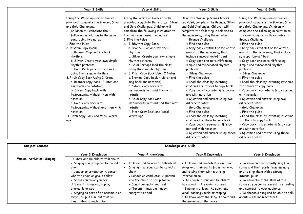| Year 3 Skills                                                                                                                                                                                                                                                                                                                                                                                                                                                                                                                                                                                                                                                                                                                      | Year 4 Skills                                                                                                                                                                                                                                                                                                                                                                                                                                                                                                                                                                                                                                                                                                                              | Year 5 Skills                                                                                                                                                                                                                                                                                                                                                                                                                                                                                                                                                                                                                                                                                                                                                                                                                                                                                           | Year 6 Skills                                                                                                                                                                                                                                                                                                                                                                                                                                                                                                                                                                                                                                                                                                                                                                                                                                                                                                        |
|------------------------------------------------------------------------------------------------------------------------------------------------------------------------------------------------------------------------------------------------------------------------------------------------------------------------------------------------------------------------------------------------------------------------------------------------------------------------------------------------------------------------------------------------------------------------------------------------------------------------------------------------------------------------------------------------------------------------------------|--------------------------------------------------------------------------------------------------------------------------------------------------------------------------------------------------------------------------------------------------------------------------------------------------------------------------------------------------------------------------------------------------------------------------------------------------------------------------------------------------------------------------------------------------------------------------------------------------------------------------------------------------------------------------------------------------------------------------------------------|---------------------------------------------------------------------------------------------------------------------------------------------------------------------------------------------------------------------------------------------------------------------------------------------------------------------------------------------------------------------------------------------------------------------------------------------------------------------------------------------------------------------------------------------------------------------------------------------------------------------------------------------------------------------------------------------------------------------------------------------------------------------------------------------------------------------------------------------------------------------------------------------------------|----------------------------------------------------------------------------------------------------------------------------------------------------------------------------------------------------------------------------------------------------------------------------------------------------------------------------------------------------------------------------------------------------------------------------------------------------------------------------------------------------------------------------------------------------------------------------------------------------------------------------------------------------------------------------------------------------------------------------------------------------------------------------------------------------------------------------------------------------------------------------------------------------------------------|
| Using the Warm up Games tracks<br>provided, complete the Bronze, Silver<br>and Gold Challenges.<br>Children will complete the<br>$\circ$<br>following in relation to the main<br>song, using two notes:<br>. Find the Pulse<br>2. Rhythm Copy Back:<br>a. Bronze: Clap and say back<br>rhythms<br>b. Silver: Create your own simple<br>rhythm patterns<br>c. Gold: Perhaps lead the class<br>using their simple rhythms<br>3. Pitch Copy Back Using 2 Notes<br>a. Bronze: Copy back - 'Listen and<br>sing back' (no notation)<br>b. Silver: Copy back with<br>instruments, without then with<br>notation<br>c. Gold: Copy back with<br>instruments, without and then with<br>notation<br>4. Pitch Copy Back and Vocal Warm-<br>ups | Using the Warm up Games tracks<br>provided, complete the Bronze, Silver<br>and Gold Challenges. Children will<br>complete the following in relation to<br>the main song, using two notes:<br>1. Find the Pulse<br>2. Rhythm Copy Back:<br>$\circ$<br>a. Bronze: Clap and say back<br>rhythms<br>b. Silver: Create your own simple<br>rhythm patterns<br>c. Gold: Perhaps lead the class<br>using their simple rhythms<br>3. Pitch Copy Back Using 2 Notes<br>$\circ$<br>a. Bronze: Copy back - 'Listen and<br>sing back' (no notation)<br>b. Silver: Copy back with<br>instruments, without then with<br>notation<br>c. Gold: Copy back with<br>instruments, without and then with<br>notation<br>4. Pitch Copy Back and Vocal<br>Warm-ups | Using the Warm up Games tracks<br>provided, complete the Bronze, Silver<br>and Gold Challenges. Children will<br>complete the following in relation to<br>the main song, using three notes:<br>• Bronze Challenge<br>$\circ$ Find the pulse<br>o Copy back rhythms based on the<br>words of the main song, that<br>include syncopation/off beat<br>o Copy back one-note riffs using<br>simple and syncopated rhythm<br>patterns<br>• Silver Challenge<br>o Find the pulse<br>o Lead the class by inventing<br>rhythms for others to copy back<br>o Copy back two-note riffs by ear<br>and with notation<br>O Question and answer using two<br>different notes<br>• Gold Challenge<br>$\circ$ Find the pulse<br>o Lead the class by inventing<br>rhythms for them to copy back<br>$\circ$ Copy back three-note riffs by<br>ear and with notation<br>O Question and answer using three<br>different notes | Using the Warm up Games tracks<br>provided, complete the Bronze, Silver<br>and Gold Challenges. Children will<br>complete the following in relation to<br>the main song, using three notes: .<br><b>Bronze Challenge</b><br>$\circ$ Find the pulse<br>$\circ$ Copy back rhythms based on the<br>words of the main song, that include<br>syncopation/off beat<br>o Copy back one-note riffs using<br>simple and syncopated rhythm<br>patterns<br>• Silver Challenge<br>$\circ$ Find the pulse<br>o Lead the class by inventing rhythms<br>for others to copy back<br>$\circ$ Copy back two-note riffs by ear and<br>with notation<br>O Question and answer using two<br>different notes<br>• Gold Challenge<br>• Find the pulse<br>• Lead the class by inventing rhythms<br>for them to copy back<br>• Copy back three-note riffs by ear<br>and with notation<br>• Question and answer using three<br>different notes |

| Subject Content                    | Knowledge and Skills                 |                                    |                                      |                                        |  |
|------------------------------------|--------------------------------------|------------------------------------|--------------------------------------|----------------------------------------|--|
|                                    | Year 3 Knowledge                     | Year 4 Knowledge                   | Year 5 Knowledge                     | Year 6 Knowledge                       |  |
| <b>Musical Activities: Singing</b> | To know and be able to talk about:   |                                    |                                      |                                        |  |
|                                    | · Singing in a group can be called a | To know and be able to talk about: | • To know and confidently sing five  | • To know and confidently sing five    |  |
|                                    | choir                                | Singing in a group can be called a | songs and their parts from memory,   | songs and their parts from memory,     |  |
|                                    | • Leader or conductor: A person      | choir                              | and to sing them with a strong       | and to sing them with a strong         |  |
|                                    | who the choir or group follow        | • Leader or conductor: A person    | internal pulse.                      | internal pulse.                        |  |
|                                    | • Songs can make you feel            | who the choir or group follow      | • To choose a song and be able to    | • To know about the style of the       |  |
|                                    | different things e.g. happy,         | • Songs can make you feel          | talk about: o Its main features      | songs so you can represent the feeling |  |
|                                    | energetic or sad                     | different things e.g. happy,       | ○ Singing in unison, the solo, lead  | and context to your audience           |  |
|                                    | • Singing as part of an ensemble or  | energetic or sad                   | vocal, backing vocals or rapping     | • To choose a song and be able to talk |  |
|                                    | large group is fun, but that you     |                                    | o To know what the song is about and | about: o Its main features             |  |
|                                    | must listen to each other            |                                    | the meaning of the lyrics            |                                        |  |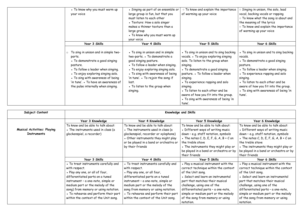| • To know why you must warm up<br>your voice                                                                                                                                                                                                                                                            | • Singing as part of an ensemble or<br>large group is fun, but that you<br>must listen to each other<br>• Texture: How a solo singer<br>makes a thinner texture than a<br>large group                                                                                                                    | o To know and explain the importance<br>of warming up your voice                                                                                                                                                                                                                                                                                                                                     | Singing in unison, the solo, lead<br>vocal, backing vocals or rapping<br>o To know what the song is about and<br>the meaning of the lyrics<br>o To know and explain the importance<br>of warming up your voice                                                                                                         |
|---------------------------------------------------------------------------------------------------------------------------------------------------------------------------------------------------------------------------------------------------------------------------------------------------------|----------------------------------------------------------------------------------------------------------------------------------------------------------------------------------------------------------------------------------------------------------------------------------------------------------|------------------------------------------------------------------------------------------------------------------------------------------------------------------------------------------------------------------------------------------------------------------------------------------------------------------------------------------------------------------------------------------------------|------------------------------------------------------------------------------------------------------------------------------------------------------------------------------------------------------------------------------------------------------------------------------------------------------------------------|
|                                                                                                                                                                                                                                                                                                         | • To know why you must warm up<br>your voice                                                                                                                                                                                                                                                             |                                                                                                                                                                                                                                                                                                                                                                                                      |                                                                                                                                                                                                                                                                                                                        |
| Year 3 Skills                                                                                                                                                                                                                                                                                           | Year 4 Skills                                                                                                                                                                                                                                                                                            | Year 5 Skills                                                                                                                                                                                                                                                                                                                                                                                        | Year 6 Skills                                                                                                                                                                                                                                                                                                          |
| To sing in unison and in simple two-<br>$\circ$<br>parts.<br>• To demonstrate a good singing<br>posture.<br>• To follow a leader when singing.<br>• To enjoy exploring singing solo.<br>• To sing with awareness of being<br>'in tune'. . To have an awareness of<br>the pulse internally when singing. | • To sing in unison and in simple<br>two-parts. • To demonstrate a<br>good singing posture.<br>• To follow a leader when singing.<br>• To enjoy exploring singing solo.<br>• To sing with awareness of being<br>'in tune'. • To rejoin the song if<br>lost.<br>• To listen to the group when<br>singing. | • To sing in unison and to sing backing<br>vocals. • To enjoy exploring singing<br>solo. To listen to the group when<br>singing.<br>• To demonstrate a good singing<br>posture. • To follow a leader when<br>singing.<br>• To experience rapping and solo<br>singing.<br>• To listen to each other and be<br>aware of how you fit into the group.<br>• To sing with awareness of being 'in<br>tune'. | • To sing in unison and to sing backing<br>vocals.<br>• To demonstrate a good singing<br>posture.<br>• To follow a leader when singing.<br>• To experience rapping and solo<br>singing.<br>• To listen to each other and be<br>aware of how you fit into the group.<br>• To sing with awareness of being 'in<br>tune'. |

| Subject Content                    | <b>Knowledge and Skills</b>          |                                        |                                        |                                          |
|------------------------------------|--------------------------------------|----------------------------------------|----------------------------------------|------------------------------------------|
|                                    | Year 3 Knowledge                     | Year 4 Knowledge                       | Year 5 Knowledge                       | Year 6 Knowledge                         |
|                                    | To know and be able to talk about:   | To know and be able to talk about:     | To know and be able to talk about:     | To know and be able to talk about:       |
| <b>Musical Activities: Playing</b> | • The instruments used in class (a   | • The instruments used in class (a     | • Different ways of writing music      | • Different ways of writing music        |
| <b>Instruments</b>                 | glockenspiel, a recorder)            | glockenspiel, recorder or xylophone)   | down - e.g. staff notation, symbols    | down - e.g. staff notation, symbols      |
|                                    |                                      | • Other instruments they might play    | The notes $C, D, E, F, G, A, B + C$ on | • The notes $C, D, E, F, G, A, B + C$ on |
|                                    |                                      | or be played in a band or orchestra or | the treble stave                       | the treble stave                         |
|                                    |                                      | by their friends                       | • The instruments they might play or   | • The instruments they might play or     |
|                                    |                                      |                                        | be played in a band or orchestra or by | be played in a band or orchestra or by   |
|                                    |                                      |                                        | their friends                          | their friends                            |
|                                    | Year 3 Skills                        | Year 4 Skills                          | Year 5 Skills                          | Year 6 Skills                            |
|                                    | • To treat instruments carefully and | • To treat instruments carefully and   | . Play a musical instrument with the   | . Play a musical instrument with the     |
|                                    | with respect.                        | with respect.                          | correct technique within the context   | correct technique within the context     |
|                                    | . Play any one, or all of four,      | . Play any one, or all four,           | of the Unit song.                      | of the Unit song.                        |
|                                    | differentiated parts on a tuned      | differentiated parts on a tuned        | • Select and learn an instrumental     | • Select and learn an instrumental       |
|                                    | instrument - a one-note, simple or   | instrument - a one-note, simple or     | part that matches their musical        | part that matches their musical          |
|                                    | medium part or the melody of the     | medium part or the melody of the       | challenge, using one of the            | challenge, using one of the              |
|                                    | song) from memory or using notation. | song from memory or using notation.    | differentiated parts - a one-note,     | differentiated parts - a one-note,       |
|                                    | • To rehearse and perform their part | • To rehearse and perform their part   | simple or medium part or the melody    | simple or medium part or the melody      |
|                                    | within the context of the Unit song. | within the context of the Unit song.   | of the song from memory or using       | of the song from memory or using         |
|                                    |                                      |                                        | notation.                              | notation.                                |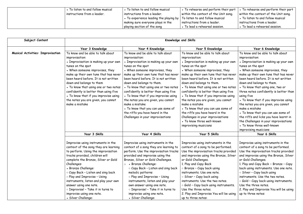| • To listen to and follow musical | • To listen to and follow musical                                                     | • To rehearse and perform their part                  | • To rehearse and perform their part |
|-----------------------------------|---------------------------------------------------------------------------------------|-------------------------------------------------------|--------------------------------------|
| instructions from a leader.       | $\mid$ instructions from a leader.                                                    | within the context of the Unit song.                  | within the context of the Unit song. |
|                                   | $\bullet$ To experience leading the playing by $\mid$ To listen to and follow musical |                                                       | • To listen to and follow musical    |
|                                   | I making sure everyone plays in the                                                   | instructions from a leader.                           | instructions from a leader.          |
|                                   | playing section of the song                                                           | $\overline{\phantom{a}}$ To lead a rehearsal session. | • To lead a rehearsal session.       |

| Subject Content                          | Knowledge and Skills                                                                                                                                                                                                                                                                                                                                                                                                                                                             |                                                                                                                                                                                                                                                                                                                                                                                                                                                                                                                                                                                          |                                                                                                                                                                                                                                                                                                                                                                                                                                                                                                                                                                                                                                                 |                                                                                                                                                                                                                                                                                                                                                                                                                                                                                                                                                                                                                                                                      |  |
|------------------------------------------|----------------------------------------------------------------------------------------------------------------------------------------------------------------------------------------------------------------------------------------------------------------------------------------------------------------------------------------------------------------------------------------------------------------------------------------------------------------------------------|------------------------------------------------------------------------------------------------------------------------------------------------------------------------------------------------------------------------------------------------------------------------------------------------------------------------------------------------------------------------------------------------------------------------------------------------------------------------------------------------------------------------------------------------------------------------------------------|-------------------------------------------------------------------------------------------------------------------------------------------------------------------------------------------------------------------------------------------------------------------------------------------------------------------------------------------------------------------------------------------------------------------------------------------------------------------------------------------------------------------------------------------------------------------------------------------------------------------------------------------------|----------------------------------------------------------------------------------------------------------------------------------------------------------------------------------------------------------------------------------------------------------------------------------------------------------------------------------------------------------------------------------------------------------------------------------------------------------------------------------------------------------------------------------------------------------------------------------------------------------------------------------------------------------------------|--|
|                                          |                                                                                                                                                                                                                                                                                                                                                                                                                                                                                  |                                                                                                                                                                                                                                                                                                                                                                                                                                                                                                                                                                                          |                                                                                                                                                                                                                                                                                                                                                                                                                                                                                                                                                                                                                                                 |                                                                                                                                                                                                                                                                                                                                                                                                                                                                                                                                                                                                                                                                      |  |
| <b>Musical Activities: Improvisation</b> | Year 3 Knowledge<br>To know and be able to talk about<br>improvisation:<br>• Improvisation is making up your own<br>tunes on the spot<br>• When someone improvises, they<br>make up their own tune that has never<br>been heard before. It is not written<br>down and belongs to them<br>• To know that using one or two notes<br>confidently is better than using five<br>• To know that if you improvise using<br>the notes you are given, you cannot<br>make a mistake        | Year 4 Knowledge<br>To know and be able to talk about<br>improvisation:<br>• Improvisation is making up your own<br>tunes on the spot<br>• When someone improvises, they<br>make up their own tune that has never<br>been heard before. It is not written<br>down and belongs to them.<br>• To know that using one or two notes<br>confidently is better than using five<br>• To know that if you improvise using<br>the notes you are given, you cannot<br>make a mistake<br>• To know that you can use some of<br>the riffs you have heard in the<br>Challenges in your improvisations | Year 5 Knowledge<br>To know and be able to talk about<br>improvisation:<br>• Improvisation is making up your own<br>tunes on the spot<br>• When someone improvises, they<br>make up their own tune that has never<br>been heard before. It is not written<br>down and belongs to them.<br>• To know that using one or two notes<br>confidently is better than using five<br>• To know that if you improvise using<br>the notes you are given, you cannot<br>make a mistake<br>• To know that you can use some of<br>the riffs you have heard in the<br>Challenges in your improvisations<br>• To know three well-known<br>improvising musicians | Year 6 Knowledge<br>To know and be able to talk about<br>improvisation:<br>• Improvisation is making up your own<br>tunes on the spot<br>• When someone improvises, they<br>make up their own tune that has never<br>been heard before. It is not written<br>down and belongs to them.<br>• To know that using one, two or<br>three notes confidently is better than<br>using five<br>• To know that if you improvise using<br>the notes you are given, you cannot<br>make a mistake<br>. To know that you can use some of<br>the riffs and licks you have learnt in<br>the Challenges in your improvisations<br>• To know three well-known<br>improvising musicians |  |
|                                          | Year 3 Skills                                                                                                                                                                                                                                                                                                                                                                                                                                                                    | Year 4 Skills                                                                                                                                                                                                                                                                                                                                                                                                                                                                                                                                                                            | Year 5 Skills                                                                                                                                                                                                                                                                                                                                                                                                                                                                                                                                                                                                                                   | Year 6 Skills                                                                                                                                                                                                                                                                                                                                                                                                                                                                                                                                                                                                                                                        |  |
|                                          | Improvise using instruments in the<br>context of the song they are learning<br>to perform. Using the improvisation<br>tracks provided, children will<br>complete the Bronze, Silver or Gold<br>Challenges:<br>• Bronze Challenge:<br>$\circ$ Copy Back - Listen and sing back<br>$\circ$ Play and Improvise - Using<br>instruments, listen and play your own<br>answer using one note.<br>o Improvise! - Take it in turns to<br>improvise using one note.<br>• Silver Challenge: | Improvise using instruments in the<br>context of a song they are learning to<br>perform. Use the improvisation tracks<br>provided and improvise using the<br>Bronze, Silver or Gold Challenges.<br>• Bronze Challenge:<br>$\circ$<br>O Copy Back - Listen and sing back<br>melodic patterns<br>o Play and Improvise - Using<br>instruments, listen and play your<br>own answer using one note.<br>o Improvise! - Take it in turns to<br>improvise using one note.<br>• Silver Challenge:                                                                                                 | Improvise using instruments in the<br>context of a song to be performed.<br>Use the improvisation tracks provided<br>and improvise using the Bronze, Silver<br>or Gold Challenges.<br>1. Play and Copy Back<br>$\circ$ Bronze - Copy back using<br>instruments. Use one note.<br>$\circ$ Silver - Copy back using<br>instruments. Use the two notes.<br>$\circ$ Gold - Copy back using instruments.<br>Use the three notes.<br>2. Play and Improvise You will be using<br>up to three notes:                                                                                                                                                    | Improvise using instruments in the<br>context of a song to be performed.<br>Use the improvisation tracks provided<br>and improvise using the Bronze, Silver<br>or Gold Challenges.<br>1. Play and Copy Back $\circ$ Bronze - Copy<br>back using instruments. Use one note.<br>$\circ$ Silver - Copy back using<br>instruments. Use the two notes.<br>$\circ$ Gold - Copy back using instruments.<br>Use the three notes.<br>2. Play and Improvise You will be using<br>up to three notes:                                                                                                                                                                            |  |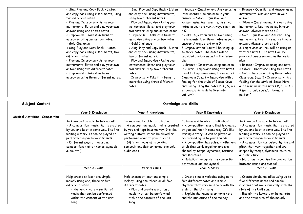| Sing, Play and Copy Back - Listen         | Sing, Play and Copy Back - Listen   | Bronze - Question and Answer using          | <b>Bronze - Question and Answer using</b>   |
|-------------------------------------------|-------------------------------------|---------------------------------------------|---------------------------------------------|
| and copy back using instruments, using    | and copy back using instruments,    | instruments. Use one note in your           | instruments. Use one note in your           |
| two different notes.                      | using two different notes.          | answer. $\circ$ Silver - Question and       | answer.                                     |
| o Play and Improvise - Using your         | o Play and Improvise - Using your   | Answer using instruments. Use two           | o Silver - Question and Answer using        |
| instruments, listen and play your own     | instruments, listen and play your   | notes in your answer. Always start on       | instruments. Use two notes in your          |
| answer using one or two notes.            | own answer using one or two notes.  | a G.                                        | answer. Always start on a G.                |
| o Improvise! - Take it in turns to        | o Improvise! - Take it in turns to  | $\circ$ Gold - Question and Answer using    | o Gold - Question and Answer using          |
| improvise using one or two notes.         | improvise using one or two notes.   | instruments. Use three notes in your        | instruments. Use three notes in your        |
| • Gold Challenge:                         | • Gold Challenge:                   | answer. Always start on a G.                | answer. Always start on a G.                |
| $\circ$ Sing, Play and Copy Back - Listen | ○ Sing, Play and Copy Back - Listen | 3. Improvisation! You will be using up      | 3. Improvisation! You will be using up      |
| and copy back using instruments, two      | and copy back using instruments,    | to three notes. The notes will be           | to three notes. The notes will be           |
| different notes.                          | two different notes.                | provided on-screen and in the lesson        | provided on-screen and in the lesson        |
| o Play and Improvise - Using your         | • Play and Improvise - Using your   | plan:                                       | plan:                                       |
| instruments, listen and play your own     | instruments, listen and play your   | o Bronze - Improvise using one note.        | O Bronze - Improvise using one note.        |
| answer using two different notes.         | own answer using two different      | o Silver - Improvise using two notes.       | o Silver - Improvise using two notes.       |
| o Improvise! - Take it in turns to        | notes.                              | $\circ$ Gold - Improvise using three notes. | $\circ$ Gold - Improvise using three notes. |
| improvise using three different notes.    | o Improvise! - Take it in turns to  | Classroom Jazz 2 - Improvise with a         | Classroom Jazz 2 - Improvise with a         |
|                                           | improvise using three different     | feeling for the style of Bossa Nova         | feeling for the style of Bossa Nova         |
|                                           | notes.                              | and Swing using the notes $D, E, G, A +$    | and Swing using the notes D, E, G, A +      |
|                                           |                                     | B (pentatonic scale/a five-note             | B (pentatonic scale/a five-note             |
|                                           |                                     | pattern)                                    | pattern)                                    |

| Subject Content                        | <b>Knowledge and Skills</b>                                                                                                                                                                                                                                                                |                                                                                                                                                                                                                                                                                            |                                                                                                                                                                                                                                                                                                                                                                                                            |                                                                                                                                                                                                                                                                                                                                                                                                            |
|----------------------------------------|--------------------------------------------------------------------------------------------------------------------------------------------------------------------------------------------------------------------------------------------------------------------------------------------|--------------------------------------------------------------------------------------------------------------------------------------------------------------------------------------------------------------------------------------------------------------------------------------------|------------------------------------------------------------------------------------------------------------------------------------------------------------------------------------------------------------------------------------------------------------------------------------------------------------------------------------------------------------------------------------------------------------|------------------------------------------------------------------------------------------------------------------------------------------------------------------------------------------------------------------------------------------------------------------------------------------------------------------------------------------------------------------------------------------------------------|
|                                        | Year 3 Knowledge                                                                                                                                                                                                                                                                           | Year 4 Knowledge                                                                                                                                                                                                                                                                           | Year 5 Knowledge                                                                                                                                                                                                                                                                                                                                                                                           | Year 6 Knowledge                                                                                                                                                                                                                                                                                                                                                                                           |
| <b>Musical Activities: Composition</b> | To know and be able to talk about:<br>• A composition: music that is created<br>by you and kept in some way. It's like<br>writing a story. It can be played or<br>performed again to your friends.<br>• Different ways of recording<br>compositions (letter names, symbols,<br>audio etc.) | To know and be able to talk about:<br>• A composition: music that is created<br>by you and kept in some way. It's like<br>writing a story. It can be played or<br>performed again to your friends.<br>• Different ways of recording<br>compositions (letter names, symbols,<br>audio etc.) | To know and be able to talk about:<br>• A composition: music that is created<br>by you and kept in some way. It's like<br>writing a story. It can be played or<br>performed again to your friends.<br>• A composition has pulse, rhythm and<br>pitch that work together and are<br>shaped by tempo, dynamics, texture<br>and structure<br>• Notation: recognise the connection<br>between sound and symbol | To know and be able to talk about:<br>• A composition: music that is created<br>by you and kept in some way. It's like<br>writing a story. It can be played or<br>performed again to your friends.<br>• A composition has pulse, rhythm and<br>pitch that work together and are<br>shaped by tempo, dynamics, texture<br>and structure<br>• Notation: recognise the connection<br>between sound and symbol |
|                                        | Year 3 Skills                                                                                                                                                                                                                                                                              | Year 4 Skills                                                                                                                                                                                                                                                                              | Year 5 Skills                                                                                                                                                                                                                                                                                                                                                                                              | Year 6 Skills                                                                                                                                                                                                                                                                                                                                                                                              |
|                                        | Help create at least one simple<br>melody using one, three or five<br>different notes.<br>• Plan and create a section of<br>music that can be performed<br>within the context of the unit<br>song.                                                                                         | Help create at least one simple<br>melody using one, three or all five<br>different notes.<br>• Plan and create a section of<br>music that can be performed<br>within the context of the unit<br>song.                                                                                     | • Create simple melodies using up to<br>five different notes and simple<br>rhythms that work musically with the<br>style of the Unit song.<br>• Explain the keynote or home note<br>and the structure of the melody.                                                                                                                                                                                       | • Create simple melodies using up to<br>five different notes and simple<br>rhythms that work musically with the<br>style of the Unit song.<br>• Explain the keynote or home note<br>and the structure of the melody.                                                                                                                                                                                       |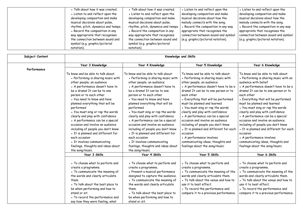| • Talk about how it was created.   | . Talk about how it was created.   | • Listen to and reflect upon the    | • Listen to and reflect upon the    |
|------------------------------------|------------------------------------|-------------------------------------|-------------------------------------|
| • Listen to and reflect upon the   | • Listen to and reflect upon the   | developing composition and make     | developing composition and make     |
| developing composition and make    | developing composition and make    | musical decisions about how the     | musical decisions about how the     |
| musical decisions about pulse,     | musical decisions about pulse,     | melody connects with the song.      | melody connects with the song.      |
| rhythm, pitch, dynamics and tempo. | rhythm, pitch, dynamics and tempo. | • Record the composition in any way | • Record the composition in any way |
| • Record the composition in any    | • Record the composition in any    | appropriate that recognises the     | appropriate that recognises the     |
| way appropriate that recognises    | way appropriate that recognises    | connection between sound and symbol | connection between sound and symbol |
| the connection between sound and   | the connection between sound and   | (e.g. graphic/pictorial notation).  | (e.g. graphic/pictorial notation).  |
| symbol (e.g. graphic/pictorial     | symbol (e.g. graphic/pictorial     |                                     |                                     |
| notation).                         | notation).                         |                                     |                                     |

| Subject Content |                                                                                                                                                                                                                                                                                                                                                                                                                                                                                                                                                                                                                       |                                                                                                                                                                                                                                                                                                                                                                                                                                                                                                                                                                                                                       | Knowledge and Skills                                                                                                                                                                                                                                                                                                                                                                                                                                                                                                                                                                                                    |                                                                                                                                                                                                                                                                                                                                                                                                                                                                                                                                                                                                                       |
|-----------------|-----------------------------------------------------------------------------------------------------------------------------------------------------------------------------------------------------------------------------------------------------------------------------------------------------------------------------------------------------------------------------------------------------------------------------------------------------------------------------------------------------------------------------------------------------------------------------------------------------------------------|-----------------------------------------------------------------------------------------------------------------------------------------------------------------------------------------------------------------------------------------------------------------------------------------------------------------------------------------------------------------------------------------------------------------------------------------------------------------------------------------------------------------------------------------------------------------------------------------------------------------------|-------------------------------------------------------------------------------------------------------------------------------------------------------------------------------------------------------------------------------------------------------------------------------------------------------------------------------------------------------------------------------------------------------------------------------------------------------------------------------------------------------------------------------------------------------------------------------------------------------------------------|-----------------------------------------------------------------------------------------------------------------------------------------------------------------------------------------------------------------------------------------------------------------------------------------------------------------------------------------------------------------------------------------------------------------------------------------------------------------------------------------------------------------------------------------------------------------------------------------------------------------------|
|                 | Year 3 Knowledge                                                                                                                                                                                                                                                                                                                                                                                                                                                                                                                                                                                                      | Year 4 Knowledge                                                                                                                                                                                                                                                                                                                                                                                                                                                                                                                                                                                                      | Year 5 Knowledge                                                                                                                                                                                                                                                                                                                                                                                                                                                                                                                                                                                                        | Year 6 Knowledge                                                                                                                                                                                                                                                                                                                                                                                                                                                                                                                                                                                                      |
| Performance     | To know and be able to talk about:<br>• Performing is sharing music with<br>other people, an audience<br>• A performance doesn't have to<br>be a drama! It can be to one<br>person or to each other<br>• You need to know and have<br>planned everything that will be<br>performed<br>• You must sing or rap the words<br>clearly and play with confidence<br>• A performance can be a special<br>occasion and involve an audience<br>including of people you don't know<br>• It is planned and different for<br>each occasion<br>• It involves communicating<br>feelings, thoughts and ideas about<br>the song/music | To know and be able to talk about:<br>• Performing is sharing music with<br>other people, an audience<br>• A performance doesn't have to<br>be a drama! It can be to one<br>person or to each other<br>• You need to know and have<br>planned everything that will be<br>performed<br>• You must sing or rap the words<br>clearly and play with confidence<br>• A performance can be a special<br>occasion and involve an audience<br>including of people you don't know<br>• It is planned and different for<br>each occasion<br>• It involves communicating<br>feelings, thoughts and ideas about<br>the song/music | To know and be able to talk about:<br>• Performing is sharing music with<br>other people, an audience<br>• A performance doesn't have to be a<br>drama! It can be to one person or to<br>each other<br>• Everything that will be performed<br>must be planned and learned<br>• You must sing or rap the words<br>clearly and play with confidence<br>• A performance can be a special<br>occasion and involve an audience<br>including of people you don't know<br>• It is planned and different for each<br>occasion<br>• A performance involves<br>communicating ideas, thoughts and<br>feelings about the song/music | To know and be able to talk about:<br>• Performing is sharing music with an<br>audience with belief<br>• A performance doesn't have to be a<br>drama! It can be to one person or to<br>each other<br>• Everything that will be performed<br>must be planned and learned<br>• You must sing or rap the words<br>clearly and play with confidence<br>• A performance can be a special<br>occasion and involve an audience<br>including of people you don't know<br>• It is planned and different for each<br>occasion<br>• A performance involves<br>communicating ideas, thoughts and<br>feelings about the song/music |
|                 | Year 3 Skills                                                                                                                                                                                                                                                                                                                                                                                                                                                                                                                                                                                                         | Year 4 Skills                                                                                                                                                                                                                                                                                                                                                                                                                                                                                                                                                                                                         | Year 5 Skills                                                                                                                                                                                                                                                                                                                                                                                                                                                                                                                                                                                                           | Year 6 Skills                                                                                                                                                                                                                                                                                                                                                                                                                                                                                                                                                                                                         |
|                 | • To choose what to perform and<br>create a programme.<br>• To communicate the meaning of<br>the words and clearly articulate<br>them.<br>• To talk about the best place to<br>be when performing and how to<br>stand or sit.<br>• To record the performance and<br>say how they were feeling, what                                                                                                                                                                                                                                                                                                                   | • To choose what to perform and<br>create a programme.<br>• Present a musical performance<br>designed to capture the audience.<br>• To communicate the meaning of<br>the words and clearly articulate<br>them.<br>• To talk about the best place to<br>be when performing and how to<br>stand or sit.                                                                                                                                                                                                                                                                                                                 | • To choose what to perform and<br>create a programme.<br>• To communicate the meaning of the<br>words and clearly articulate them.<br>• To talk about the venue and how to<br>use it to best effect.<br>• To record the performance and<br>compare it to a previous performance.                                                                                                                                                                                                                                                                                                                                       | • To choose what to perform and<br>create a programme.<br>• To communicate the meaning of the<br>words and clearly articulate them.<br>• To talk about the venue and how to<br>use it to best effect.<br>• To record the performance and<br>compare it to a previous performance.                                                                                                                                                                                                                                                                                                                                     |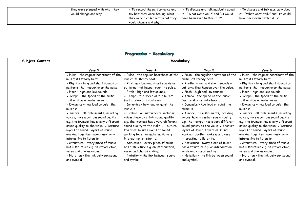| they were pleased with what they | • To record the performance and                           | To discuss and talk musically about  | $\overline{\phantom{a}}$ . To discuss and talk musically about |
|----------------------------------|-----------------------------------------------------------|--------------------------------------|----------------------------------------------------------------|
| would change and why.            | say how they were feeling, what                           | it - "What went well?" and "It would | it - "What went well?" and "It would                           |
|                                  | they were pleased with what they<br>would change and why. | have been even better if?"           |                                                                |

## Progression - Vocabulary

| Subject Content | Vocabulary                               |                                          |                                        |                                          |
|-----------------|------------------------------------------|------------------------------------------|----------------------------------------|------------------------------------------|
|                 | Year 3                                   | Year 4                                   | Year 5                                 | Year 6                                   |
|                 | . Pulse - the regular heartbeat of the   | • Pulse - the regular heartbeat of the   | . Pulse - the regular heartbeat of the | • Pulse - the regular heartbeat of the   |
|                 | music; its steady beat.                  | music; its steady beat.                  | music; its steady beat.                | music; its steady beat.                  |
|                 | • Rhythm - long and short sounds or      | • Rhythm - long and short sounds or      | • Rhythm - long and short sounds or    | • Rhythm - long and short sounds or      |
|                 | patterns that happen over the pulse.     | patterns that happen over the pulse.     | patterns that happen over the pulse.   | patterns that happen over the pulse.     |
|                 | • Pitch - high and low sounds.           | • Pitch - high and low sounds.           | • Pitch - high and low sounds.         | • Pitch - high and low sounds.           |
|                 | • Tempo - the speed of the music;        | • Tempo - the speed of the music;        | • Tempo - the speed of the music;      | • Tempo - the speed of the music;        |
|                 | fast or slow or in-between.              | fast or slow or in-between.              | fast or slow or in-between.            | fast or slow or in-between.              |
|                 | • Dynamics - how loud or quiet the       | • Dynamics - how loud or quiet the       | • Dynamics - how loud or quiet the     | • Dynamics - how loud or quiet the       |
|                 | music is.                                | music is.                                | music is.                              | music is.                                |
|                 | • Timbre - all instruments, including    | • Timbre - all instruments, including    | • Timbre - all instruments, including  | • Timbre - all instruments, including    |
|                 | voices, have a certain sound quality     | voices, have a certain sound quality     | voices, have a certain sound quality   | voices, have a certain sound quality     |
|                 | e.g. the trumpet has a very different    | e.g. the trumpet has a very different    | e.g. the trumpet has a very different  | e.g. the trumpet has a very different    |
|                 | sound quality to the violin. . Texture - | sound quality to the violin. . Texture - | sound quality to the violin. . Texture | sound quality to the violin. . Texture - |
|                 | layers of sound. Layers of sound         | layers of sound. Layers of sound         | layers of sound. Layers of sound       | layers of sound. Layers of sound         |
|                 | working together make music very         | working together make music very         | working together make music very       | working together make music very         |
|                 | interesting to listen to.                | interesting to listen to.                | interesting to listen to.              | interesting to listen to.                |
|                 | • Structure - every piece of music       | • Structure - every piece of music       | • Structure - every piece of music     | • Structure - every piece of music       |
|                 | has a structure e.g. an introduction,    | has a structure e.g. an introduction,    | has a structure e.g. an introduction,  | has a structure e.g. an introduction,    |
|                 | verse and chorus ending.                 | verse and chorus ending.                 | verse and chorus ending.               | verse and chorus ending.                 |
|                 | • Notation - the link between sound      | • Notation - the link between sound      | • Notation - the link between sound    | • Notation - the link between sound      |
|                 | and symbol.                              | and symbol.                              | and symbol.                            | and symbol.                              |
|                 |                                          |                                          |                                        |                                          |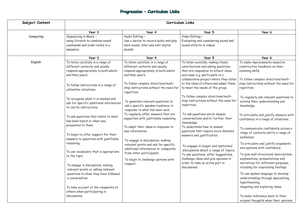# Progression - Curriculum Links

| Subject Content | Curriculum Links                                                                                                                                                                                                                                                                                                                                                                                                                                                                                         |                                                                                                                                                                                                                                                                                                                                                                                                                     |                                                                                                                                                                                                                                                                                                                                                                                                        |                                                                                                                                                                                                                                                                                                                                                                                                                                                                                                                                                                                                                                     |  |
|-----------------|----------------------------------------------------------------------------------------------------------------------------------------------------------------------------------------------------------------------------------------------------------------------------------------------------------------------------------------------------------------------------------------------------------------------------------------------------------------------------------------------------------|---------------------------------------------------------------------------------------------------------------------------------------------------------------------------------------------------------------------------------------------------------------------------------------------------------------------------------------------------------------------------------------------------------------------|--------------------------------------------------------------------------------------------------------------------------------------------------------------------------------------------------------------------------------------------------------------------------------------------------------------------------------------------------------------------------------------------------------|-------------------------------------------------------------------------------------------------------------------------------------------------------------------------------------------------------------------------------------------------------------------------------------------------------------------------------------------------------------------------------------------------------------------------------------------------------------------------------------------------------------------------------------------------------------------------------------------------------------------------------------|--|
|                 | Year 3                                                                                                                                                                                                                                                                                                                                                                                                                                                                                                   | Year 4                                                                                                                                                                                                                                                                                                                                                                                                              | Year 5                                                                                                                                                                                                                                                                                                                                                                                                 | Year 6                                                                                                                                                                                                                                                                                                                                                                                                                                                                                                                                                                                                                              |  |
| Computing       | Sequencing in Music -<br>using Scratch to combine sound<br>commands and order notes in a<br>sequence                                                                                                                                                                                                                                                                                                                                                                                                     | Audio Editing -<br>Use a device to record audio and play<br>back sound, alter and edit digital<br>sounds                                                                                                                                                                                                                                                                                                            | Video Editing -<br>Evaluating and considering sound and<br>sound effects in videos                                                                                                                                                                                                                                                                                                                     |                                                                                                                                                                                                                                                                                                                                                                                                                                                                                                                                                                                                                                     |  |
|                 | Year 3                                                                                                                                                                                                                                                                                                                                                                                                                                                                                                   | Year 4                                                                                                                                                                                                                                                                                                                                                                                                              | Year 5                                                                                                                                                                                                                                                                                                                                                                                                 | Year 6                                                                                                                                                                                                                                                                                                                                                                                                                                                                                                                                                                                                                              |  |
| English         | To listen carefully in a range of<br>different contexts and usually<br>respond appropriately to both adults<br>and their peers.<br>To follow instructions in a range of<br>unfamiliar situations.<br>To recognise when it is needed and<br>ask for specific additional information                                                                                                                                                                                                                       | To listen carefully in a range of<br>different contexts and usually<br>respond appropriately to both adults<br>and their peers.<br>To follow complex directions/multi-<br>step instructions without the need for<br>repetition.<br>To generate relevant questions to                                                                                                                                                | To listen carefully, making timely<br>contributions and asking questions<br>that are responsive to others' ideas<br>and views, e.g. participate in a<br>collaborative project where they listen<br>to the ideas of others and adapt these<br>to meet the needs of the group.<br>To follow complex directions/multi-<br>step instructions without the need for<br>repetition.                           | To make improvements based on<br>constructive feedback on their<br>listening skills.<br>To follow complex directions/multi-<br>step instructions without the need for<br>repetition.<br>To regularly ask relevant questions to<br>extend their understanding and                                                                                                                                                                                                                                                                                                                                                                    |  |
|                 | to clarify instructions.<br>To ask questions that relate to what<br>has been heard or what was<br>presented to them.<br>To begin to offer support for their<br>answers to questions with justifiable<br>reasoning.<br>To use vocabulary that is appropriate<br>to the topic<br>To engage in discussions, making<br>relevant points or asking relevant<br>questions to show they have followed<br>a conversation.<br>To take account of the viewpoints of<br>others when participating in<br>discussions. | ask a specific speaker/audience in<br>response to what has been said.<br>To regularly offer answers that are<br>supported with justifiable reasoning.<br>To adapt their ideas in response to<br>new information.<br>To engage in discussions, making<br>relevant points and ask for specific<br>additional information or viewpoints<br>from other participants.<br>To begin to challenge opinions with<br>respect. | To ask questions which deepen<br>conversations and/or further their<br>knowledge.<br>To understand how to answer<br>questions that require more detailed<br>answers and justification.<br>To engage in longer and sustained<br>discussions about a range of topics.<br>To ask questions, offer suggestions,<br>challenge ideas and give opinions in<br>order to take an active part in<br>discussions. | knowledge.<br>To articulate and justify answers with<br>confidence in a range of situations.<br>To communicate confidently across a<br>range of contexts and to a range of<br>audiences.<br>To articulate and justify arguments<br>and opinions with confidence.<br>To give well-structured descriptions,<br>explanations, presentations and<br>narratives for different purposes,<br>including for expressing feelings.<br>To use spoken language to develop<br>understanding through speculating,<br>hypothesising,<br>imagining and exploring ideas.<br>To make reference back to their<br>original thoughts when their opinions |  |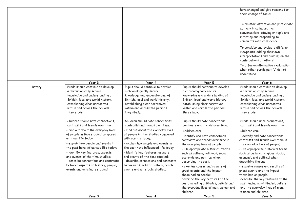|         | Year 3                                                                     | Year 4                                                                     | Year 5                                                             | Year 6                                                             |
|---------|----------------------------------------------------------------------------|----------------------------------------------------------------------------|--------------------------------------------------------------------|--------------------------------------------------------------------|
|         |                                                                            |                                                                            | children.                                                          | women and children.                                                |
|         |                                                                            |                                                                            | the everyday lives of men, women and                               | and the everyday lives of men,                                     |
|         |                                                                            |                                                                            | past, including attitudes, beliefs and                             | past, including attitudes, beliefs                                 |
|         |                                                                            |                                                                            | describe the key features of the                                   | describe the key features of the                                   |
|         |                                                                            |                                                                            | these had on people;                                               | these had on people;                                               |
|         | events and artefacts studied.                                              | events and artefacts studied.                                              | great events and the impact                                        | great events and the impact                                        |
|         | between aspects of history, people,                                        | between aspects of history, people,                                        | - examine causes and results of                                    | - examine causes and results of                                    |
|         | - describe connections and contrasts                                       | - describe connections and contrasts                                       | describing the past;                                               | describing the past;                                               |
|         | and events of the time studied;                                            | and events of the time studied;                                            | such as culture, religious, social,<br>economic and political when | such as culture, religious, social,<br>economic and political when |
|         | - identify key features, aspects                                           | - identify key features, aspects                                           | - use appropriate historical terms                                 | - use appropriate historical terms                                 |
|         | - explain how people and events in<br>the past have influenced life today; | - explain how people and events in<br>the past have influenced life today; | the everyday lives of people;                                      | the everyday lives of people;                                      |
|         | with our life today;                                                       | with our life today;                                                       | contrasts and trends over time in                                  | contrasts and trends over time in                                  |
|         | of people in time studied compared                                         | of people in time studied compared                                         | - identify and note connections,                                   | - identify and note connections,                                   |
|         | - find out about the everyday lives                                        | - find out about the everyday lives                                        | Children can:                                                      | Children can:                                                      |
|         | contrasts and trends over time.                                            | contrasts and trends over time.                                            | contrasts and trends over time.                                    | contrasts and trends over time.                                    |
|         | Children should note connections,                                          | Children should note connections,                                          | Pupils should note connections,                                    | Pupils should note connections,                                    |
|         | they study.                                                                | they study.                                                                | they study.                                                        | they study.                                                        |
|         | within and across the periods                                              | within and across the periods                                              | within and across the periods                                      | within and across the periods                                      |
|         | establishing clear narratives                                              | establishing clear narratives                                              | establishing clear narratives                                      | establishing clear narratives                                      |
|         | British, local and world history,                                          | British, local and world history,                                          | British, local and world history,                                  | British, local and world history,                                  |
|         | a chronologically secure<br>knowledge and understanding of                 | a chronologically secure<br>knowledge and understanding of                 | a chronologically secure<br>knowledge and understanding of         | a chronologically secure<br>knowledge and understanding of         |
| History | Pupils should continue to develop                                          | Pupils should continue to develop                                          | Pupils should continue to develop                                  | Pupils should continue to develop                                  |
|         | Year 3                                                                     | Year 4                                                                     | Year 5                                                             | Year 6                                                             |
|         |                                                                            |                                                                            |                                                                    |                                                                    |
|         |                                                                            |                                                                            |                                                                    | when other participant(s) do not<br>understand.                    |
|         |                                                                            |                                                                            |                                                                    | To offer an alternative explanation                                |
|         |                                                                            |                                                                            |                                                                    | contributions of others.                                           |
|         |                                                                            |                                                                            |                                                                    | interpretations and building on the                                |
|         |                                                                            |                                                                            |                                                                    | viewpoints, adding their own                                       |
|         |                                                                            |                                                                            |                                                                    | To consider and evaluate different                                 |
|         |                                                                            |                                                                            |                                                                    | comments with confidence.                                          |
|         |                                                                            |                                                                            |                                                                    | initiating and responding to                                       |
|         |                                                                            |                                                                            |                                                                    | conversations, staying on topic and                                |
|         |                                                                            |                                                                            |                                                                    | To maintain attention and participate<br>actively in collaborative |
|         |                                                                            |                                                                            |                                                                    |                                                                    |
|         |                                                                            |                                                                            |                                                                    | their change of focus.                                             |
|         |                                                                            |                                                                            |                                                                    | have changed and give reasons for                                  |
|         |                                                                            |                                                                            |                                                                    |                                                                    |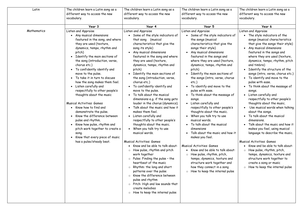| Latin       | The children learn a Latin song as a<br>different way to access the new<br>vocabulary.                                                                                                                                                                                                                                                                                                                                                                                                                                                                                                                                                                                                                                                         | The children learn a Latin song as a<br>different way to access the new<br>vocabulary.                                                                                                                                                                                                                                                                                                                                                                                                                                                                                                                                                                                                                                                                                                                                                                                                                                                                                                                                                                                                                                       | The children learn a Latin song as a<br>different way to access the new<br>vocabulary.                                                                                                                                                                                                                                                                                                                                                                                                                                                                                                                                                                                                                                                                                                                                                                                                                                                            | The children learn a Latin song as a<br>different way to access the new<br>vocabulary.                                                                                                                                                                                                                                                                                                                                                                                                                                                                                                                                                                                                                                                                                                                                                                                                                                                                                                                 |
|-------------|------------------------------------------------------------------------------------------------------------------------------------------------------------------------------------------------------------------------------------------------------------------------------------------------------------------------------------------------------------------------------------------------------------------------------------------------------------------------------------------------------------------------------------------------------------------------------------------------------------------------------------------------------------------------------------------------------------------------------------------------|------------------------------------------------------------------------------------------------------------------------------------------------------------------------------------------------------------------------------------------------------------------------------------------------------------------------------------------------------------------------------------------------------------------------------------------------------------------------------------------------------------------------------------------------------------------------------------------------------------------------------------------------------------------------------------------------------------------------------------------------------------------------------------------------------------------------------------------------------------------------------------------------------------------------------------------------------------------------------------------------------------------------------------------------------------------------------------------------------------------------------|---------------------------------------------------------------------------------------------------------------------------------------------------------------------------------------------------------------------------------------------------------------------------------------------------------------------------------------------------------------------------------------------------------------------------------------------------------------------------------------------------------------------------------------------------------------------------------------------------------------------------------------------------------------------------------------------------------------------------------------------------------------------------------------------------------------------------------------------------------------------------------------------------------------------------------------------------|--------------------------------------------------------------------------------------------------------------------------------------------------------------------------------------------------------------------------------------------------------------------------------------------------------------------------------------------------------------------------------------------------------------------------------------------------------------------------------------------------------------------------------------------------------------------------------------------------------------------------------------------------------------------------------------------------------------------------------------------------------------------------------------------------------------------------------------------------------------------------------------------------------------------------------------------------------------------------------------------------------|
|             | Year 3                                                                                                                                                                                                                                                                                                                                                                                                                                                                                                                                                                                                                                                                                                                                         | Year 4                                                                                                                                                                                                                                                                                                                                                                                                                                                                                                                                                                                                                                                                                                                                                                                                                                                                                                                                                                                                                                                                                                                       | Year 5                                                                                                                                                                                                                                                                                                                                                                                                                                                                                                                                                                                                                                                                                                                                                                                                                                                                                                                                            | Year 6                                                                                                                                                                                                                                                                                                                                                                                                                                                                                                                                                                                                                                                                                                                                                                                                                                                                                                                                                                                                 |
| Mathematics | Listen and Appraise<br>• Any musical dimensions<br>featured in the song, and where<br>they are used (texture,<br>dynamics, tempo, rhythm and<br>pitch)<br>Identify the main sections of<br>the song (introduction, verse,<br>chorus etc.)<br>• To confidently identify and<br>move to the pulse.<br>To take it in turn to discuss<br>how the song makes them feel.<br>Listen carefully and<br>respectfully to other people's<br>thoughts about the music<br><b>Musical Activities: Games</b><br>• Know how to find and<br>demonstrate the pulse.<br>Know the difference between<br>pulse and rhythm.<br>• Know how pulse, rhythm and<br>pitch work together to create a<br>song.<br>Know that every piece of music<br>has a pulse/steady beat. | Listen and Appraise<br>• Some of the style indicators of<br>that song (musical<br>characteristics that give the<br>song its style)<br>• Any musical dimensions<br>featured in the song and where<br>they are used (texture,<br>dynamics, tempo, rhythm and<br>pitch)<br>Identify the main sections of<br>the song (introduction, verse,<br>chorus etc.)<br>To confidently identify and<br>move to the pulse.<br>To talk about the musical<br>dimensions e.g. if the song gets<br>louder in the chorus (dynamics).<br>Talk about the music and how it<br>makes them feel.<br>Listen carefully and<br>respectfully to other people's<br>thoughts about the music.<br>When you talk try to use<br>musical words.<br><b>Musical Activities: Games</b><br>Know and be able to talk about:<br>How pulse, rhythm and pitch<br>work together<br>$\circ$ Pulse: Finding the pulse - the<br>heartbeat of the music<br>Rhythm: the long and short<br>patterns over the pulse<br>$\circ$ Know the difference between<br>pulse and rhythm<br>$\circ$ Pitch: High and low sounds that<br>create melodies<br>How to keep the internal pulse | Listen and Appraise<br>• Some of the style indicators of<br>the songs (musical<br>characteristics that give the<br>songs their style)<br>Any musical dimensions<br>featured in the songs and<br>where they are used (texture,<br>dynamics, tempo, rhythm and<br>pitch)<br>Identify the main sections of<br>the songs (intro, verse, chorus<br>etc.<br>To identify and move to the<br>pulse with ease.<br>• To think about the message of<br>songs.<br>• Listen carefully and<br>respectfully to other people's<br>thoughts about the music.<br>When you talk try to use<br>musical words.<br>• To talk about the musical<br>dimensions<br>Talk about the music and how it<br>makes you feel.<br><b>Musical Activities: Games</b><br>• Know and be able to talk about:<br>$\circ$ How pulse, rhythm, pitch,<br>tempo, dynamics, texture and<br>structure work together and<br>how they connect in a song<br>$\circ$ How to keep the internal pulse | Listen and Appraise<br>The style indicators of the<br>songs (musical characteristics<br>that give the songs their style)<br>Any musical dimensions<br>featured in the songs and<br>where they are used (texture,<br>dynamics, tempo, rhythm, pitch<br>and timbre)<br>Identify the structure of the<br>songs (intro, verse, chorus etc.)<br>To identify and move to the<br>pulse with ease.<br>To think about the message of<br>songs.<br>Listen carefully and<br>$\bullet$<br>respectfully to other people's<br>thoughts about the music.<br>Use musical words when talking<br>about the songs.<br>To talk about the musical<br>dimensions.<br>Talk about the music and how it<br>makes you feel, using musical<br>language to describe the music.<br><b>Musical Activities: Games</b><br>Know and be able to talk about:<br>How pulse, rhythm, pitch,<br>$\circ$<br>tempo, dynamics, texture and<br>structure work together to<br>create a song or music<br>How to keep the internal pulse<br>$\circ$ |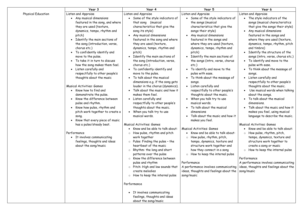| Listen and Appraise<br><b>Physical Education</b><br>Listen and Appraise<br>Listen and Appraise<br>Listen and Appraise<br>Some of the style indicators of<br>• Any musical dimensions<br>Some of the style indicators of<br>featured in the song, and where<br>the songs (musical<br>that song (musical<br>they are used (texture,<br>characteristics that give the<br>characteristics that give the<br>songs their style)<br>song its style)<br>dynamics, tempo, rhythm and<br>Any musical dimensions<br>Any musical dimensions<br>pitch)<br>featured in the song and where<br>featured in the songs and<br>• Identify the main sections of<br>where they are used (texture,<br>the song (introduction, verse,<br>they are used (texture,<br>chorus etc.)<br>dynamics, tempo, rhythm and<br>dynamics, tempo, rhythm and<br>and timbre)<br>• To confidently identify and<br>pitch)<br>pitch)<br>move to the pulse.<br>Identify the main sections of<br>Identify the main sections of<br>• To take it in turn to discuss<br>the song (introduction, verse,<br>the songs (intro, verse, chorus<br>how the song makes them feel.<br>pulse with ease.<br>chorus etc.)<br>etc.)                                                                                                                                                                                                                                                                                                                                                                                                                                                                                                                                                                                                                                                                                                                                                                                                                                                                                                                                                                                | Year 3               | Year 4                      | Year 5                      | Year 6                                                                                                                                                                                                                                                                                                                                                                                                                                                                                                                                                                                                                                                                                                                                                                                                                                                                                               |
|----------------------------------------------------------------------------------------------------------------------------------------------------------------------------------------------------------------------------------------------------------------------------------------------------------------------------------------------------------------------------------------------------------------------------------------------------------------------------------------------------------------------------------------------------------------------------------------------------------------------------------------------------------------------------------------------------------------------------------------------------------------------------------------------------------------------------------------------------------------------------------------------------------------------------------------------------------------------------------------------------------------------------------------------------------------------------------------------------------------------------------------------------------------------------------------------------------------------------------------------------------------------------------------------------------------------------------------------------------------------------------------------------------------------------------------------------------------------------------------------------------------------------------------------------------------------------------------------------------------------------------------------------------------------------------------------------------------------------------------------------------------------------------------------------------------------------------------------------------------------------------------------------------------------------------------------------------------------------------------------------------------------------------------------------------------------------------------------------------------------------------------------------------|----------------------|-----------------------------|-----------------------------|------------------------------------------------------------------------------------------------------------------------------------------------------------------------------------------------------------------------------------------------------------------------------------------------------------------------------------------------------------------------------------------------------------------------------------------------------------------------------------------------------------------------------------------------------------------------------------------------------------------------------------------------------------------------------------------------------------------------------------------------------------------------------------------------------------------------------------------------------------------------------------------------------|
| respectfully to other people's<br>move to the pulse.<br>pulse with ease.<br>songs.<br>To talk about the musical<br>thoughts about the music<br>To think about the message of<br>• Listen carefully and<br>dimensions e.g. if the song gets<br>songs.<br><b>Musical Activities: Games</b><br>louder in the chorus (dynamics).<br>Listen carefully and<br>• Know how to find and<br>Talk about the music and how it<br>respectfully to other people's<br>demonstrate the pulse.<br>makes them feel.<br>thoughts about the music.<br>about the songs.<br>Know the difference between<br>Listen carefully and<br>When you talk try to use<br>respectfully to other people's<br>pulse and rhythm.<br>musical words.<br>dimensions.<br>To talk about the musical<br>• Know how pulse, rhythm and<br>thoughts about the music.<br>pitch work together to create a<br>When you talk try to use<br>dimensions<br>Talk about the music and how it<br>musical words.<br>song.<br>Know that every piece of music<br>makes you feel.<br><b>Musical Activities: Games</b><br>has a pulse/steady beat.<br><b>Musical Activities: Games</b><br>Know and be able to talk about:<br><b>Musical Activities: Games</b><br>• Know and be able to talk about:<br>Performance<br>How pulse, rhythm and pitch<br>$\circ$<br>• It involves communicating<br>work together<br>How pulse, rhythm, pitch,<br>$\circ$<br>feelings, thoughts and ideas<br>$\circ$ Pulse: Finding the pulse - the<br>tempo, dynamics, texture and<br>heartbeat of the music<br>structure work together and<br>about the song/music<br>Rhythm: the long and short<br>how they connect in a song<br>$\circ$<br>patterns over the pulse<br>How to keep the internal pulse<br>$\circ$<br>Know the difference between<br>Performance<br>$\circ$<br>pulse and rhythm<br>Performance<br>$\circ$ Pitch: High and low sounds that<br>A performance involves communicating<br>ideas, thoughts and feelings about the<br>create melodies<br>song/music<br>$\circ$ How to keep the internal pulse<br>song/music<br>Performance<br>It involves communicating<br>feelings, thoughts and ideas<br>about the song/music | Listen carefully and | To confidently identify and | To identify and move to the | The style indicators of the<br>songs (musical characteristics<br>that give the songs their style)<br>Any musical dimensions<br>featured in the songs and<br>where they are used (texture,<br>dynamics, tempo, rhythm, pitch<br>Identify the structure of the<br>songs (intro, verse, chorus etc.)<br>To identify and move to the<br>• To think about the message of<br>respectfully to other people's<br>thoughts about the music.<br>Use musical words when talking<br>To talk about the musical<br>Talk about the music and how it<br>makes you feel, using musical<br>language to describe the music.<br>Know and be able to talk about:<br>$\circ$ How pulse, rhythm, pitch,<br>tempo, dynamics, texture and<br>structure work together to<br>create a song or music<br>$\circ$ How to keep the internal pulse<br>A performance involves communicating<br>ideas, thoughts and feelings about the |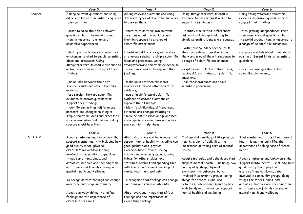|              | Year 3                                  | Year 4                                  | Year 5                                              | Year 6                                  |
|--------------|-----------------------------------------|-----------------------------------------|-----------------------------------------------------|-----------------------------------------|
| Science      | Asking relevant questions and using     | Asking relevant questions and using     | Using straightforward scientific                    | Using straightforward scientific        |
|              | different types of scientific enquiries | different types of scientific enquiries | evidence to answer questions or to                  | evidence to answer questions or to      |
|              | to answer them                          | to answer them                          | support their findings                              | support their findings                  |
|              |                                         |                                         |                                                     |                                         |
|              | - start to raise their own relevant     | - start to raise their own relevant     | - identify similarities, differences,               | - with growing independence, raise      |
|              | questions about the world around        | questions about the world around        | patterns and changes relating to                    | their own relevant questions about      |
|              | them in response to a range of          | them in response to a range of          | simple scientific ideas and processes               | the world around them in response to    |
|              | scientific experiences;                 | scientific experiences;                 |                                                     | a range of scientific experiences;      |
|              |                                         |                                         | - with growing independence, raise                  |                                         |
|              | Identifying differences, similarities   | Identifying differences, similarities   | their own relevant questions about                  | explore and talk about their ideas,     |
|              | or changes related to simple scientific | or changes related to simple scientific | the world around them in response to                | raising different kinds of scientific   |
|              | ideas and processes. Using              | ideas and processes. Using              | a range of scientific experiences;                  | questions;                              |
|              | straightforward scientific evidence to  | straightforward scientific evidence to  |                                                     |                                         |
|              | answer questions or to support their    | answer questions or to support their    | explore and talk about their ideas,                 | - ask their own questions about         |
|              | findings.                               | findings.                               | raising different kinds of scientific<br>questions; | scientific phenomena;                   |
|              | - make links between their own          | - make links between their own          | - ask their own questions about                     |                                         |
|              | science results and other scientific    | science results and other scientific    | scientific phenomena;                               |                                         |
|              | evidence;                               | evidence;                               |                                                     |                                         |
|              | - use straightforward scientific        | - use straightforward scientific        |                                                     |                                         |
|              | evidence to answer questions or         | evidence to answer questions or         |                                                     |                                         |
|              | support their findings;                 | support their findings;                 |                                                     |                                         |
|              | - identify similarities, differences,   | - identify similarities, differences,   |                                                     |                                         |
|              | patterns and changes relating to        | patterns and changes relating to        |                                                     |                                         |
|              | simple scientific ideas and processes;  | simple scientific ideas and processes;  |                                                     |                                         |
|              | recognise when and how secondary        | recognise when and how secondary        |                                                     |                                         |
|              | sources might help them                 | sources might help them                 |                                                     |                                         |
|              | Year 3                                  | Year 4                                  | Year 5                                              | Year 6                                  |
| S.P.H.E.R.E. | About strategies and behaviours that    | About strategies and behaviours that    | That mental health, just like physical              | That mental health, just like physical  |
|              | support mental health $-$ including how | support mental health $-$ including how | health, is part of daily life; the                  | health, is part of daily life; the      |
|              | good quality sleep, physical            | good quality sleep, physical            | importance of taking care of mental                 | importance of taking care of mental     |
|              | exercise/time outdoors, being           | exercise/time outdoors, being           | health                                              | health                                  |
|              | involved in community groups, doing     | involved in community groups, doing     |                                                     |                                         |
|              | things for others, clubs, and           | things for others, clubs, and           | About strategies and behaviours that                | About strategies and behaviours that    |
|              | activities, hobbies and spending time   | activities, hobbies and spending time   | support mental health $-$ including how             | support mental health $-$ including how |
|              | with family and friends can support     | with family and friends can support     | good quality sleep, physical                        | good quality sleep, physical            |
|              | mental health and wellbeing             | mental health and wellbeing             | exercise/time outdoors, being                       | exercise/time outdoors, being           |
|              |                                         |                                         | involved in community groups, doing                 | involved in community groups, doing     |
|              | To recognise that feelings can change   | To recognise that feelings can change   | things for others, clubs, and                       | things for others, clubs, and           |
|              | over time and range in intensity        | over time and range in intensity        | activities, hobbies and spending time               | activities, hobbies and spending time   |
|              |                                         |                                         | with family and friends can support                 | with family and friends can support     |
|              | About everyday things that affect       | About everyday things that affect       | mental health and wellbeing                         | mental health and wellbeing             |
|              | feelings and the importance of          | feelings and the importance of          |                                                     |                                         |
|              | expressing feelings                     | expressing feelings                     |                                                     |                                         |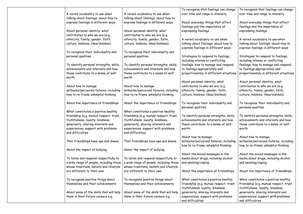|                                         |                                         | To recognise that feelings can change   | To recognise that feelings can change   |
|-----------------------------------------|-----------------------------------------|-----------------------------------------|-----------------------------------------|
| A varied vocabulary to use when         | A varied vocabulary to use when         | over time and range in intensity        | over time and range in intensity        |
| talking about feelings; about how to    | talking about feelings; about how to    |                                         |                                         |
| express feelings in different ways      | express feelings in different ways      | About everyday things that affect       | About everyday things that affect       |
|                                         |                                         | feelings and the importance of          | feelings and the importance of          |
| About personal identity; what           | About personal identity; what           | expressing feelings                     | expressing feelings                     |
| contributes to who we are (e.g.         | contributes to who we are (e.g.         |                                         |                                         |
| ethnicity, family, gender, faith,       | ethnicity, family, gender, faith,       | A varied vocabulary to use when         | A varied vocabulary to use when         |
| culture, hobbies, likes/dislikes)       | culture, hobbies, likes/dislikes)       | talking about feelings; about how to    | talking about feelings; about how to    |
|                                         |                                         | express feelings in different ways      | express feelings in different ways      |
| To recognise their individuality and    | To recognise their individuality and    |                                         |                                         |
| personal qualities                      | personal qualities                      | Strategies to respond to feelings,      | Strategies to respond to feelings,      |
|                                         |                                         | including intense or conflicting        | including intense or conflicting        |
| To identify personal strengths, skills, | To identify personal strengths, skills, | feelings; how to manage and respond     | feelings; how to manage and respond     |
| achievements and interests and how      | achievements and interests and how      | to feelings appropriately and           | to feelings appropriately and           |
| these contribute to a sense of self-    | these contribute to a sense of self-    | proportionately in different situations | proportionately in different situations |
| worth                                   | worth                                   |                                         |                                         |
|                                         |                                         | About personal identity; what           | About personal identity; what           |
| About how to manage                     | About how to manage                     | contributes to who we are (e.g.         | contributes to who we are (e.g.         |
| setbacks/perceived failures, including  | setbacks/perceived failures, including  | ethnicity, family, gender, faith,       | ethnicity, family, gender, faith,       |
| how to re-frame unhelpful thinking      | how to re-frame unhelpful thinking      | culture, hobbies, likes/dislikes)       | culture, hobbies, likes/dislikes)       |
|                                         |                                         |                                         |                                         |
| About the importance of friendships     | About the importance of friendships     | To recognise their individuality and    | To recognise their individuality and    |
|                                         |                                         | personal qualities                      | personal qualities                      |
| What constitutes a positive healthy     | What constitutes a positive healthy     |                                         |                                         |
| friendship (e.g. mutual respect, trust, | friendship (e.g. mutual respect, trust, | To identify personal strengths, skills, | To identify personal strengths, skills, |
| truthfulness, loyalty, kindness,        | truthfulness, loyalty, kindness,        | achievements and interests and how      | achievements and interests and how      |
| generosity, sharing interests and       | generosity, sharing interests and       | these contribute to a sense of self-    | these contribute to a sense of self-    |
| experiences, support with problems      | experiences, support with problems      | worth                                   | worth                                   |
| and difficulties                        | and difficulties                        |                                         |                                         |
|                                         |                                         | About how to manage                     | About how to manage                     |
| That friendships have ups and downs     | That friendships have ups and downs     | setbacks/perceived failures, including  | setbacks/perceived failures, including  |
|                                         |                                         | how to re-frame unhelpful thinking      | how to re-frame unhelpful thinking      |
| About the impact of bullying            | About the impact of bullying            |                                         |                                         |
|                                         |                                         | About the mixed messages in the         | About the mixed messages in the         |
| To listen and respond respectfully to   | To listen and respond respectfully to   | media about drugs, including alcohol    | media about drugs, including alcohol    |
| a wide range of people, including those | a wide range of people, including those | and smoking/vaping                      | and smoking/vaping                      |
| whose traditions, beliefs and lifestyle | whose traditions, beliefs and lifestyle |                                         |                                         |
| are different to their own              | are different to their own              | About the importance of friendships     | About the importance of friendships     |
|                                         |                                         |                                         |                                         |
| To recognise positive things about      | To recognise positive things about      | What constitutes a positive healthy     | What constitutes a positive healthy     |
| themselves and their achievements       | themselves and their achievements       | friendship (e.g. mutual respect, trust, | friendship (e.g. mutual respect, trust, |
|                                         |                                         | truthfulness, loyalty, kindness,        | truthfulness, loyalty, kindness,        |
| About some of the skills that will help | About some of the skills that will help | generosity, sharing interests and       | generosity, sharing interests and       |
| them in their future careers e.g.       | them in their future careers e.g.       | experiences, support with problems      | experiences, support with problems      |
|                                         |                                         | and difficulties                        | and difficulties                        |